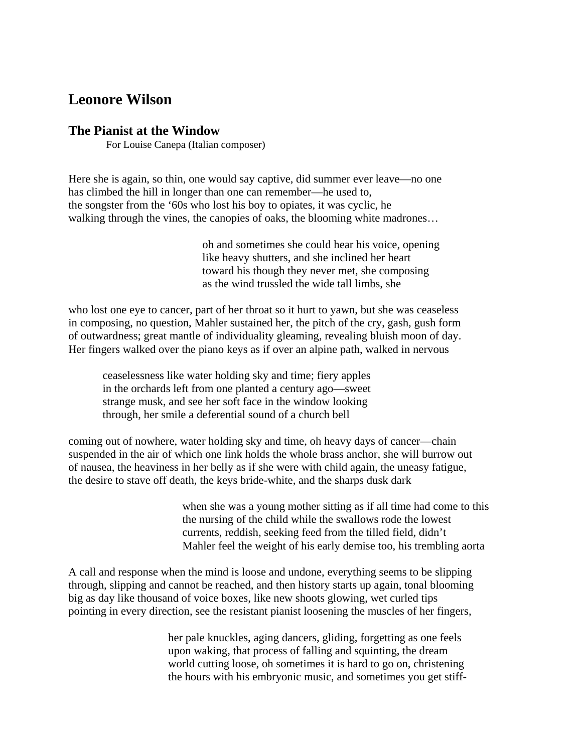## **Leonore Wilson**

## **The Pianist at the Window**

For Louise Canepa (Italian composer)

Here she is again, so thin, one would say captive, did summer ever leave—no one has climbed the hill in longer than one can remember—he used to, the songster from the '60s who lost his boy to opiates, it was cyclic, he walking through the vines, the canopies of oaks, the blooming white madrones…

> oh and sometimes she could hear his voice, opening like heavy shutters, and she inclined her heart toward his though they never met, she composing as the wind trussled the wide tall limbs, she

who lost one eye to cancer, part of her throat so it hurt to yawn, but she was ceaseless in composing, no question, Mahler sustained her, the pitch of the cry, gash, gush form of outwardness; great mantle of individuality gleaming, revealing bluish moon of day. Her fingers walked over the piano keys as if over an alpine path, walked in nervous

ceaselessness like water holding sky and time; fiery apples in the orchards left from one planted a century ago—sweet strange musk, and see her soft face in the window looking through, her smile a deferential sound of a church bell

coming out of nowhere, water holding sky and time, oh heavy days of cancer—chain suspended in the air of which one link holds the whole brass anchor, she will burrow out of nausea, the heaviness in her belly as if she were with child again, the uneasy fatigue, the desire to stave off death, the keys bride-white, and the sharps dusk dark

> when she was a young mother sitting as if all time had come to this the nursing of the child while the swallows rode the lowest currents, reddish, seeking feed from the tilled field, didn't Mahler feel the weight of his early demise too, his trembling aorta

A call and response when the mind is loose and undone, everything seems to be slipping through, slipping and cannot be reached, and then history starts up again, tonal blooming big as day like thousand of voice boxes, like new shoots glowing, wet curled tips pointing in every direction, see the resistant pianist loosening the muscles of her fingers,

> her pale knuckles, aging dancers, gliding, forgetting as one feels upon waking, that process of falling and squinting, the dream world cutting loose, oh sometimes it is hard to go on, christening the hours with his embryonic music, and sometimes you get stiff-